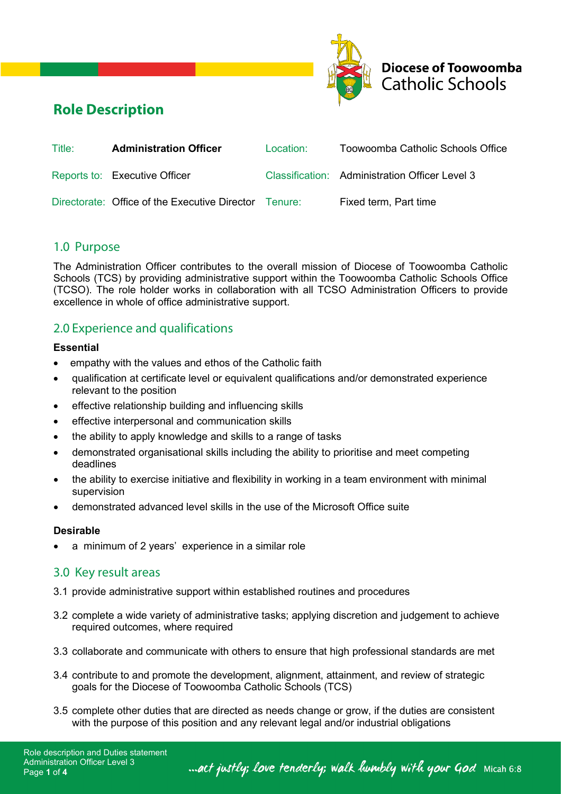



# **Role Description**

| Title: | <b>Administration Officer</b>                         | Location: | Toowoomba Catholic Schools Office              |
|--------|-------------------------------------------------------|-----------|------------------------------------------------|
|        | Reports to: Executive Officer                         |           | Classification: Administration Officer Level 3 |
|        | Directorate: Office of the Executive Director Tenure: |           | Fixed term, Part time                          |

## 1.0 Purpose

The Administration Officer contributes to the overall mission of Diocese of Toowoomba Catholic Schools (TCS) by providing administrative support within the Toowoomba Catholic Schools Office (TCSO). The role holder works in collaboration with all TCSO Administration Officers to provide excellence in whole of office administrative support.

## 2.0 Experience and qualifications

### **Essential**

- empathy with the values and ethos of the Catholic faith
- qualification at certificate level or equivalent qualifications and/or demonstrated experience relevant to the position
- effective relationship building and influencing skills
- effective interpersonal and communication skills
- the ability to apply knowledge and skills to a range of tasks
- demonstrated organisational skills including the ability to prioritise and meet competing deadlines
- the ability to exercise initiative and flexibility in working in a team environment with minimal supervision
- demonstrated advanced level skills in the use of the Microsoft Office suite

### **Desirable**

a minimum of 2 years' experience in a similar role

## 3.0 Key result areas

- 3.1 provide administrative support within established routines and procedures
- 3.2 complete a wide variety of administrative tasks; applying discretion and judgement to achieve required outcomes, where required
- 3.3 collaborate and communicate with others to ensure that high professional standards are met
- 3.4 contribute to and promote the development, alignment, attainment, and review of strategic goals for the Diocese of Toowoomba Catholic Schools (TCS)
- 3.5 complete other duties that are directed as needs change or grow, if the duties are consistent with the purpose of this position and any relevant legal and/or industrial obligations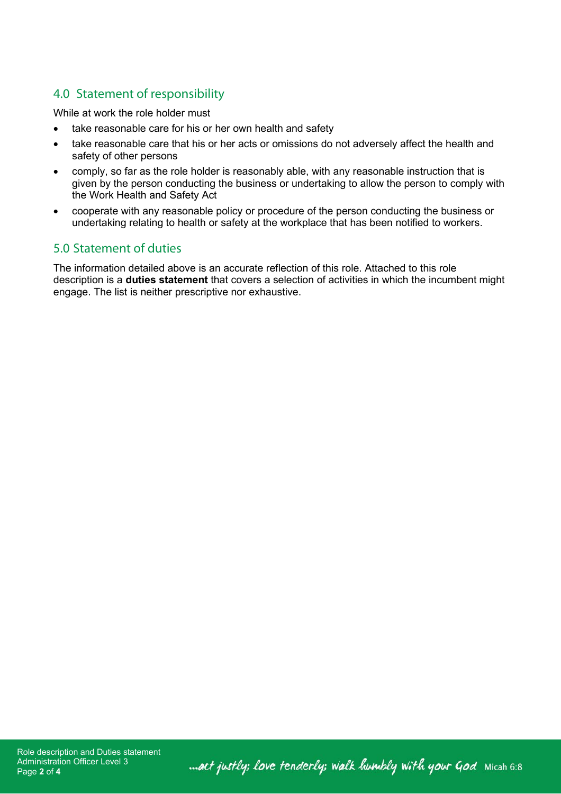## 4.0 Statement of responsibility

While at work the role holder must

- take reasonable care for his or her own health and safety
- take reasonable care that his or her acts or omissions do not adversely affect the health and safety of other persons
- comply, so far as the role holder is reasonably able, with any reasonable instruction that is given by the person conducting the business or undertaking to allow the person to comply with the Work Health and Safety Act
- cooperate with any reasonable policy or procedure of the person conducting the business or undertaking relating to health or safety at the workplace that has been notified to workers.

## 5.0 Statement of duties

The information detailed above is an accurate reflection of this role. Attached to this role description is a **duties statement** that covers a selection of activities in which the incumbent might engage. The list is neither prescriptive nor exhaustive.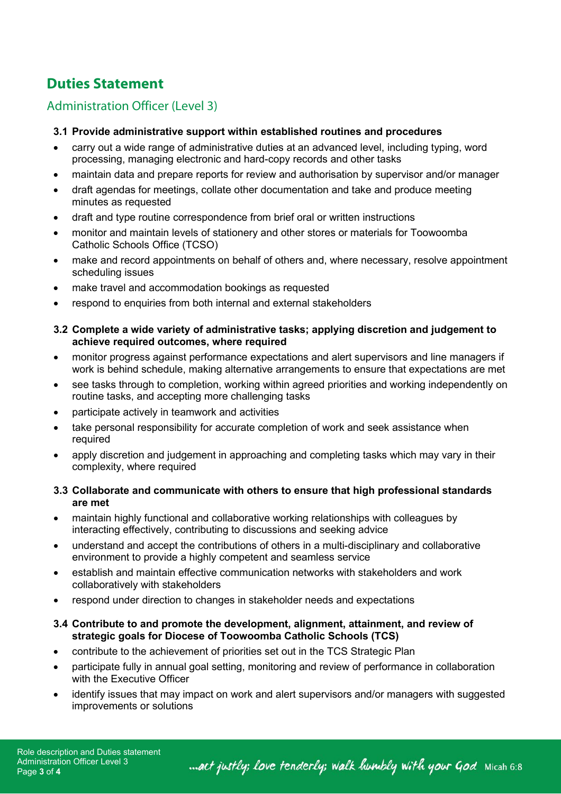# **Duties Statement**

## Administration Officer (Level 3)

### **3.1 Provide administrative support within established routines and procedures**

- carry out a wide range of administrative duties at an advanced level, including typing, word processing, managing electronic and hard-copy records and other tasks
- maintain data and prepare reports for review and authorisation by supervisor and/or manager
- draft agendas for meetings, collate other documentation and take and produce meeting minutes as requested
- draft and type routine correspondence from brief oral or written instructions
- monitor and maintain levels of stationery and other stores or materials for Toowoomba Catholic Schools Office (TCSO)
- make and record appointments on behalf of others and, where necessary, resolve appointment scheduling issues
- make travel and accommodation bookings as requested
- respond to enquiries from both internal and external stakeholders
- **3.2 Complete a wide variety of administrative tasks; applying discretion and judgement to achieve required outcomes, where required**
- monitor progress against performance expectations and alert supervisors and line managers if work is behind schedule, making alternative arrangements to ensure that expectations are met
- see tasks through to completion, working within agreed priorities and working independently on routine tasks, and accepting more challenging tasks
- participate actively in teamwork and activities
- take personal responsibility for accurate completion of work and seek assistance when required
- apply discretion and judgement in approaching and completing tasks which may vary in their complexity, where required

### **3.3 Collaborate and communicate with others to ensure that high professional standards are met**

- maintain highly functional and collaborative working relationships with colleagues by interacting effectively, contributing to discussions and seeking advice
- understand and accept the contributions of others in a multi-disciplinary and collaborative environment to provide a highly competent and seamless service
- establish and maintain effective communication networks with stakeholders and work collaboratively with stakeholders
- respond under direction to changes in stakeholder needs and expectations
- **3.4 Contribute to and promote the development, alignment, attainment, and review of strategic goals for Diocese of Toowoomba Catholic Schools (TCS)**
- contribute to the achievement of priorities set out in the TCS Strategic Plan
- participate fully in annual goal setting, monitoring and review of performance in collaboration with the Executive Officer
- identify issues that may impact on work and alert supervisors and/or managers with suggested improvements or solutions

... act justly; love tenderly; walk humbly with your God Micah 6:8